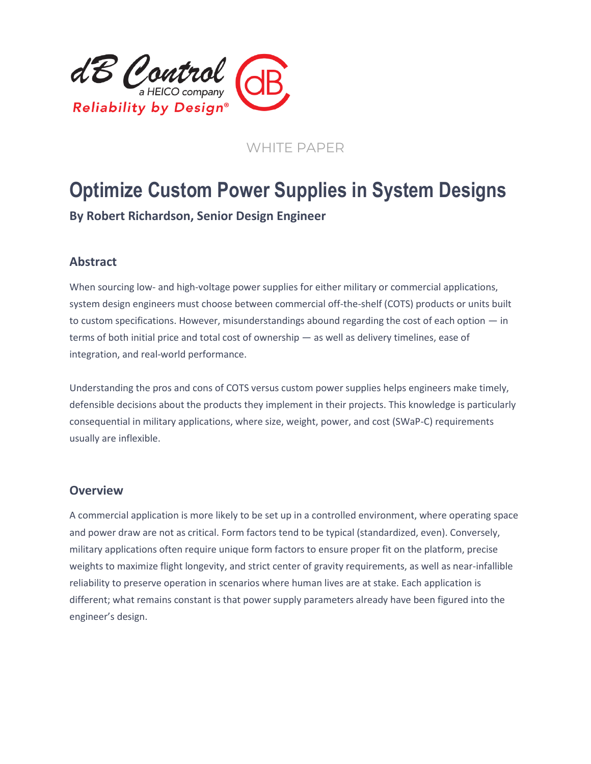

# WHITE PAPER

# **Optimize Custom Power Supplies in System Designs**

# **By Robert Richardson, Senior Design Engineer**

# **Abstract**

When sourcing low- and high-voltage power supplies for either military or commercial applications, system design engineers must choose between commercial off-the-shelf (COTS) products or units built to custom specifications. However, misunderstandings abound regarding the cost of each option — in terms of both initial price and total cost of ownership — as well as delivery timelines, ease of integration, and real-world performance.

Understanding the pros and cons of COTS versus custom power supplies helps engineers make timely, defensible decisions about the products they implement in their projects. This knowledge is particularly consequential in military applications, where size, weight, power, and cost (SWaP-C) requirements usually are inflexible.

#### **Overview**

A commercial application is more likely to be set up in a controlled environment, where operating space and power draw are not as critical. Form factors tend to be typical (standardized, even). Conversely, military applications often require unique form factors to ensure proper fit on the platform, precise weights to maximize flight longevity, and strict center of gravity requirements, as well as near-infallible reliability to preserve operation in scenarios where human lives are at stake. Each application is different; what remains constant is that power supply parameters already have been figured into the engineer's design.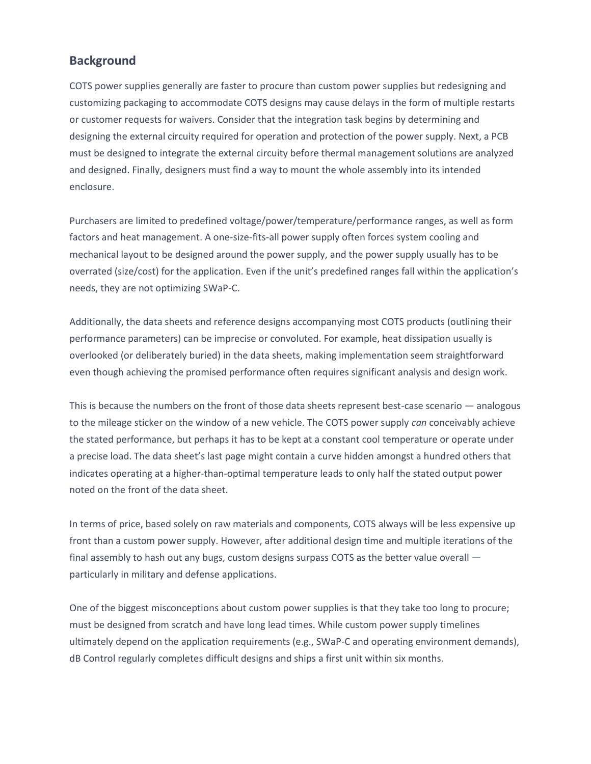### **Background**

COTS power supplies generally are faster to procure than custom power supplies but redesigning and customizing packaging to accommodate COTS designs may cause delays in the form of multiple restarts or customer requests for waivers. Consider that the integration task begins by determining and designing the external circuity required for operation and protection of the power supply. Next, a PCB must be designed to integrate the external circuity before thermal management solutions are analyzed and designed. Finally, designers must find a way to mount the whole assembly into its intended enclosure.

Purchasers are limited to predefined voltage/power/temperature/performance ranges, as well as form factors and heat management. A one-size-fits-all power supply often forces system cooling and mechanical layout to be designed around the power supply, and the power supply usually has to be overrated (size/cost) for the application. Even if the unit's predefined ranges fall within the application's needs, they are not optimizing SWaP-C.

Additionally, the data sheets and reference designs accompanying most COTS products (outlining their performance parameters) can be imprecise or convoluted. For example, heat dissipation usually is overlooked (or deliberately buried) in the data sheets, making implementation seem straightforward even though achieving the promised performance often requires significant analysis and design work.

This is because the numbers on the front of those data sheets represent best-case scenario — analogous to the mileage sticker on the window of a new vehicle. The COTS power supply *can* conceivably achieve the stated performance, but perhaps it has to be kept at a constant cool temperature or operate under a precise load. The data sheet's last page might contain a curve hidden amongst a hundred others that indicates operating at a higher-than-optimal temperature leads to only half the stated output power noted on the front of the data sheet.

In terms of price, based solely on raw materials and components, COTS always will be less expensive up front than a custom power supply. However, after additional design time and multiple iterations of the final assembly to hash out any bugs, custom designs surpass COTS as the better value overall particularly in military and defense applications.

One of the biggest misconceptions about custom power supplies is that they take too long to procure; must be designed from scratch and have long lead times. While custom power supply timelines ultimately depend on the application requirements (e.g., SWaP-C and operating environment demands), dB Control regularly completes difficult designs and ships a first unit within six months.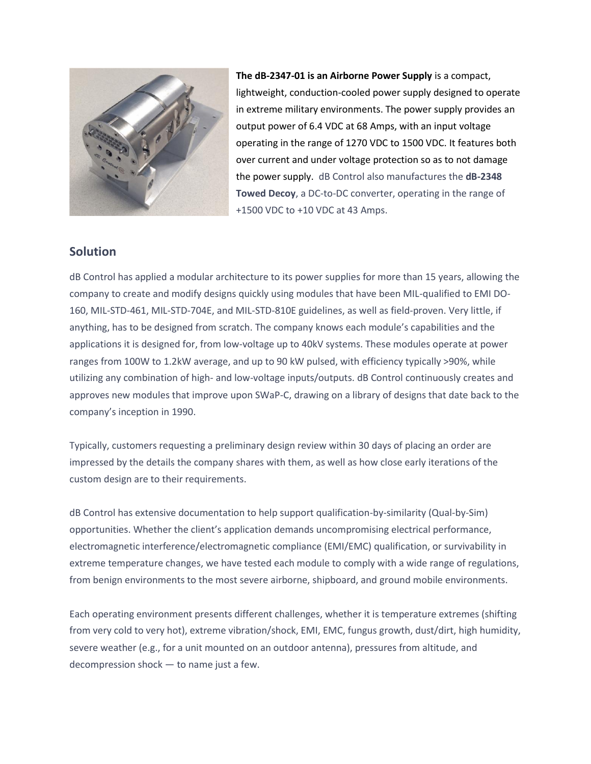

**The dB-2347-01 is an Airborne Power Supply** is a compact, lightweight, conduction-cooled power supply designed to operate in extreme military environments. The power supply provides an output power of 6.4 VDC at 68 Amps, with an input voltage operating in the range of 1270 VDC to 1500 VDC. It features both over current and under voltage protection so as to not damage the power supply. dB Control also manufactures the **dB-2348 Towed Decoy**, a DC-to-DC converter, operating in the range of +1500 VDC to +10 VDC at 43 Amps.

#### **Solution**

dB Control has applied a modular architecture to its power supplies for more than 15 years, allowing the company to create and modify designs quickly using modules that have been MIL-qualified to EMI DO-160, MIL-STD-461, MIL-STD-704E, and MIL-STD-810E guidelines, as well as field-proven. Very little, if anything, has to be designed from scratch. The company knows each module's capabilities and the applications it is designed for, from low-voltage up to 40kV systems. These modules operate at power ranges from 100W to 1.2kW average, and up to 90 kW pulsed, with efficiency typically >90%, while utilizing any combination of high- and low-voltage inputs/outputs. dB Control continuously creates and approves new modules that improve upon SWaP-C, drawing on a library of designs that date back to the company's inception in 1990.

Typically, customers requesting a preliminary design review within 30 days of placing an order are impressed by the details the company shares with them, as well as how close early iterations of the custom design are to their requirements.

dB Control has extensive documentation to help support qualification-by-similarity (Qual-by-Sim) opportunities. Whether the client's application demands uncompromising electrical performance, electromagnetic interference/electromagnetic compliance (EMI/EMC) qualification, or survivability in extreme temperature changes, we have tested each module to comply with a wide range of regulations, from benign environments to the most severe airborne, shipboard, and ground mobile environments.

Each operating environment presents different challenges, whether it is temperature extremes (shifting from very cold to very hot), extreme vibration/shock, EMI, EMC, fungus growth, dust/dirt, high humidity, severe weather (e.g., for a unit mounted on an outdoor antenna), pressures from altitude, and decompression shock — to name just a few.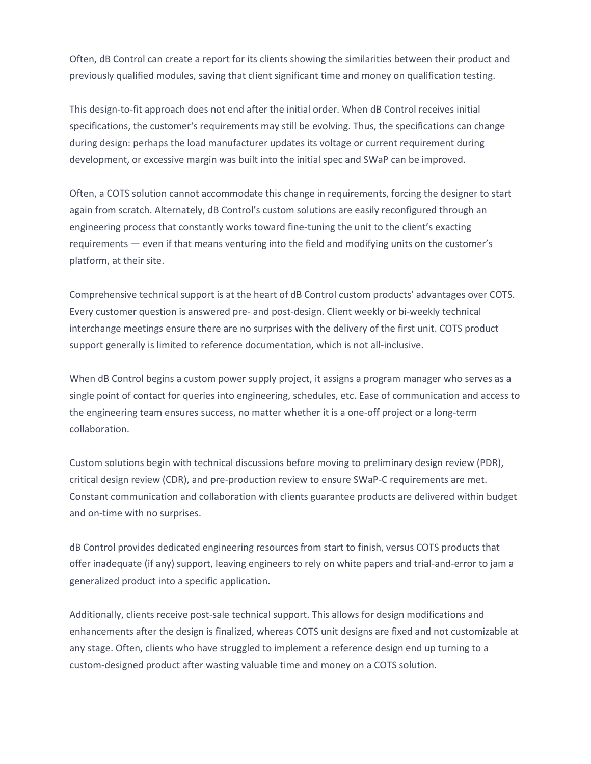Often, dB Control can create a report for its clients showing the similarities between their product and previously qualified modules, saving that client significant time and money on qualification testing.

This design-to-fit approach does not end after the initial order. When dB Control receives initial specifications, the customer's requirements may still be evolving. Thus, the specifications can change during design: perhaps the load manufacturer updates its voltage or current requirement during development, or excessive margin was built into the initial spec and SWaP can be improved.

Often, a COTS solution cannot accommodate this change in requirements, forcing the designer to start again from scratch. Alternately, dB Control's custom solutions are easily reconfigured through an engineering process that constantly works toward fine-tuning the unit to the client's exacting requirements — even if that means venturing into the field and modifying units on the customer's platform, at their site.

Comprehensive technical support is at the heart of dB Control custom products' advantages over COTS. Every customer question is answered pre- and post-design. Client weekly or bi-weekly technical interchange meetings ensure there are no surprises with the delivery of the first unit. COTS product support generally is limited to reference documentation, which is not all-inclusive.

When dB Control begins a custom power supply project, it assigns a program manager who serves as a single point of contact for queries into engineering, schedules, etc. Ease of communication and access to the engineering team ensures success, no matter whether it is a one-off project or a long-term collaboration.

Custom solutions begin with technical discussions before moving to preliminary design review (PDR), critical design review (CDR), and pre-production review to ensure SWaP-C requirements are met. Constant communication and collaboration with clients guarantee products are delivered within budget and on-time with no surprises.

dB Control provides dedicated engineering resources from start to finish, versus COTS products that offer inadequate (if any) support, leaving engineers to rely on white papers and trial-and-error to jam a generalized product into a specific application.

Additionally, clients receive post-sale technical support. This allows for design modifications and enhancements after the design is finalized, whereas COTS unit designs are fixed and not customizable at any stage. Often, clients who have struggled to implement a reference design end up turning to a custom-designed product after wasting valuable time and money on a COTS solution.